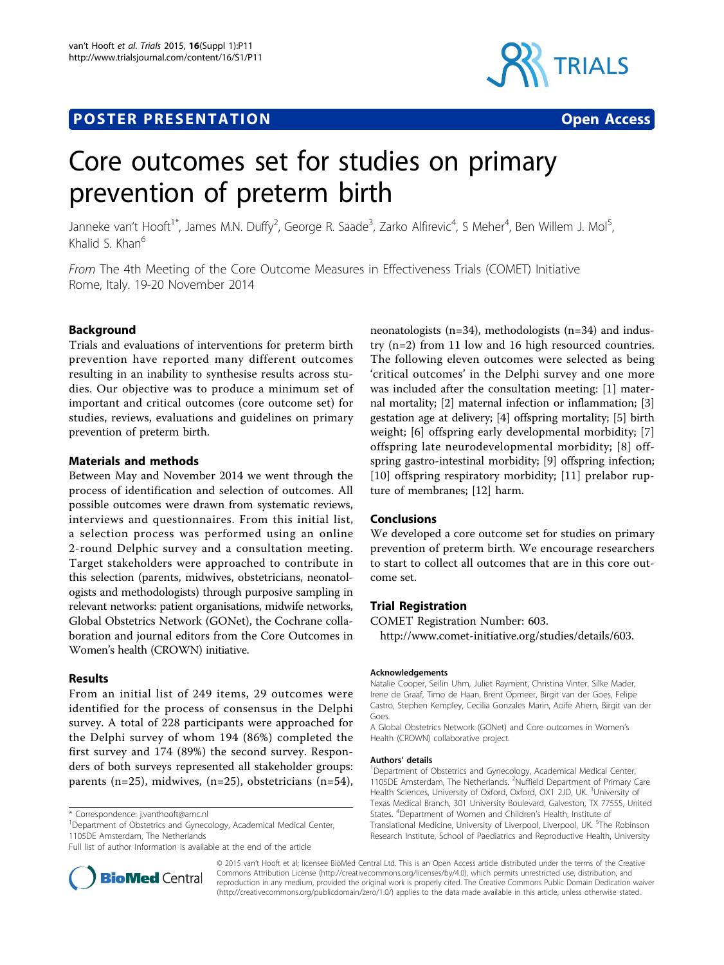# **POSTER PRESENTATION CONSUMING THE SERVICE SERVICE SERVICES**



# Core outcomes set for studies on primary prevention of preterm birth

Janneke van't Hooft<sup>1\*</sup>, James M.N. Duffy<sup>2</sup>, George R. Saade<sup>3</sup>, Zarko Alfirevic<sup>4</sup>, S Meher<sup>4</sup>, Ben Willem J. Mol<sup>5</sup> , Khalid  $\zeta$  Khan<sup>6</sup>

From The 4th Meeting of the Core Outcome Measures in Effectiveness Trials (COMET) Initiative Rome, Italy. 19-20 November 2014

## Background

Trials and evaluations of interventions for preterm birth prevention have reported many different outcomes resulting in an inability to synthesise results across studies. Our objective was to produce a minimum set of important and critical outcomes (core outcome set) for studies, reviews, evaluations and guidelines on primary prevention of preterm birth.

#### Materials and methods

Between May and November 2014 we went through the process of identification and selection of outcomes. All possible outcomes were drawn from systematic reviews, interviews and questionnaires. From this initial list, a selection process was performed using an online 2-round Delphic survey and a consultation meeting. Target stakeholders were approached to contribute in this selection (parents, midwives, obstetricians, neonatologists and methodologists) through purposive sampling in relevant networks: patient organisations, midwife networks, Global Obstetrics Network (GONet), the Cochrane collaboration and journal editors from the Core Outcomes in Women's health (CROWN) initiative.

#### Results

From an initial list of 249 items, 29 outcomes were identified for the process of consensus in the Delphi survey. A total of 228 participants were approached for the Delphi survey of whom 194 (86%) completed the first survey and 174 (89%) the second survey. Responders of both surveys represented all stakeholder groups: parents (n=25), midwives, (n=25), obstetricians (n=54),

<sup>1</sup>Department of Obstetrics and Gynecology, Academical Medical Center, 1105DE Amsterdam, The Netherlands

Full list of author information is available at the end of the article



neonatologists (n=34), methodologists (n=34) and industry (n=2) from 11 low and 16 high resourced countries. The following eleven outcomes were selected as being 'critical outcomes' in the Delphi survey and one more was included after the consultation meeting: [1] maternal mortality; [2] maternal infection or inflammation; [3] gestation age at delivery; [4] offspring mortality; [5] birth weight; [6] offspring early developmental morbidity; [7] offspring late neurodevelopmental morbidity; [8] offspring gastro-intestinal morbidity; [9] offspring infection; [10] offspring respiratory morbidity; [11] prelabor rupture of membranes; [12] harm.

### **Conclusions**

We developed a core outcome set for studies on primary prevention of preterm birth. We encourage researchers to start to collect all outcomes that are in this core outcome set.

# Trial Registration

COMET Registration Number: 603.

[http://www.comet-initiative.org/studies/details/603.](http://www.comet-initiative.org/studies/details/603)

#### Acknowledgements

Natalie Cooper, Seilin Uhm, Juliet Rayment, Christina Vinter, Silke Mader, Irene de Graaf, Timo de Haan, Brent Opmeer, Birgit van der Goes, Felipe Castro, Stephen Kempley, Cecilia Gonzales Marin, Aoife Ahern, Birgit van der Goes

A Global Obstetrics Network (GONet) and Core outcomes in Women's Health (CROWN) collaborative project.

#### Authors' details <sup>1</sup>

<sup>1</sup>Department of Obstetrics and Gynecology, Academical Medical Center, 1105DE Amsterdam, The Netherlands. <sup>2</sup>Nuffield Department of Primary Care Health Sciences, University of Oxford, Oxford, OX1 2JD, UK. <sup>3</sup>University of Texas Medical Branch, 301 University Boulevard, Galveston, TX 77555, United States. <sup>4</sup> Department of Women and Children's Health, Institute of Translational Medicine, University of Liverpool, Liverpool, UK. <sup>5</sup>The Robinson Research Institute, School of Paediatrics and Reproductive Health, University

© 2015 van't Hooft et al; licensee BioMed Central Ltd. This is an Open Access article distributed under the terms of the Creative Commons Attribution License [\(http://creativecommons.org/licenses/by/4.0](http://creativecommons.org/licenses/by/4.0)), which permits unrestricted use, distribution, and reproduction in any medium, provided the original work is properly cited. The Creative Commons Public Domain Dedication waiver [\(http://creativecommons.org/publicdomain/zero/1.0/](http://creativecommons.org/publicdomain/zero/1.0/)) applies to the data made available in this article, unless otherwise stated.

<sup>\*</sup> Correspondence: [j.vanthooft@amc.nl](mailto:j.vanthooft@amc.nl)